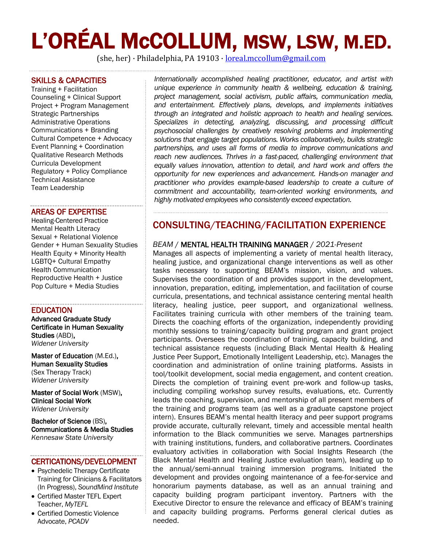# L'ORÉAL McCOLLUM, MSW, LSW, M.ED.

(she, her) · Philadelphia, PA 19103 · [loreal.mccollum@gmail.com](mailto:loreal.mccollum@gmail.com)

#### SKILLS & CAPACITIES

Training + Facilitation Counseling + Clinical Support Project + Program Management Strategic Partnerships Administrative Operations Communications + Branding Cultural Competence + Advocacy Event Planning + Coordination Qualitative Research Methods Curricula Development Regulatory + Policy Compliance Technical Assistance Team Leadership

#### AREAS OF EXPERTISE

Healing-Centered Practice Mental Health Literacy Sexual + Relational Violence Gender + Human Sexuality Studies Health Equity + Minority Health LGBTQ+ Cultural Empathy Health Communication Reproductive Health + Justice Pop Culture + Media Studies

#### **EDUCATION**

Advanced Graduate Study Certificate in Human Sexuality Studies (ABD), *Widener University*

Master of Education (M.Ed.), Human Sexuality Studies (Sex Therapy Track) *Widener University*

Master of Social Work (MSW), Clinical Social Work *Widener University*

Bachelor of Science (BS), Communications & Media Studies *Kennesaw State University*

#### CERTICATIONS/DEVELOPMENT

- Psychedelic Therapy Certificate Training for Clinicians & Facilitators (In Progress), *SoundMind Institute*
- Certified Master TEFL Expert Teacher, *MyTEFL*
- Certified Domestic Violence Advocate, *PCADV*

*Internationally accomplished healing practitioner, educator, and artist with unique experience in community health & wellbeing, education & training, project management, social activism, public affairs, communication media, and entertainment. Effectively plans, develops, and implements initiatives through an integrated and holistic approach to health and healing services. Specializes in detecting, analyzing, discussing, and processing difficult psychosocial challenges by creatively resolving problems and implementing solutions that engage target populations. Works collaboratively, builds strategic partnerships, and uses all forms of media to improve communications and reach new audiences. Thrives in a fast-paced, challenging environment that equally values innovation, attention to detail, and hard work and offers the opportunity for new experiences and advancement. Hands-on manager and practitioner who provides example-based leadership to create a culture of commitment and accountability, team-oriented working environments, and highly motivated employees who consistently exceed expectation.*

## CONSULTING/TEACHING/FACILITATION EXPERIENCE

#### *BEAM* / MENTAL HEALTH TRAINING MANAGER / *2021-Present*

Manages all aspects of implementing a variety of mental health literacy, healing justice, and organizational change interventions as well as other tasks necessary to supporting BEAM's mission, vision, and values. Supervises the coordination of and provides support in the development, innovation, preparation, editing, implementation, and facilitation of course curricula, presentations, and technical assistance centering mental health literacy, healing justice, peer support, and organizational wellness. Facilitates training curricula with other members of the training team. Directs the coaching efforts of the organization, independently providing monthly sessions to training/capacity building program and grant project participants. Oversees the coordination of training, capacity building, and technical assistance requests (including Black Mental Health & Healing Justice Peer Support, Emotionally Intelligent Leadership, etc). Manages the coordination and administration of online training platforms. Assists in tool/toolkit development, social media engagement, and content creation. Directs the completion of training event pre-work and follow-up tasks, including compiling workshop survey results, evaluations, etc. Currently leads the coaching, supervision, and mentorship of all present members of the training and programs team (as well as a graduate capstone project intern). Ensures BEAM's mental health literacy and peer support programs provide accurate, culturally relevant, timely and accessible mental health information to the Black communities we serve. Manages partnerships with training institutions, funders, and collaborative partners. Coordinates evaluatory activities in collaboration with Social Insights Research (the Black Mental Health and Healing Justice evaluation team), leading up to the annual/semi-annual training immersion programs. Initiated the development and provides ongoing maintenance of a fee-for-service and honorarium payments database, as well as an annual training and capacity building program participant inventory. Partners with the Executive Director to ensure the relevance and efficacy of BEAM's training and capacity building programs. Performs general clerical duties as needed.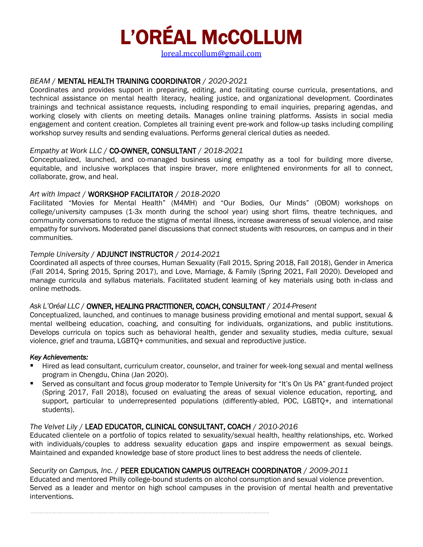# L'ORÉAL McCOLLUM

[loreal.mccollum@gmail.com](mailto:loreal.mccollum@gmail.com)

#### *BEAM* / MENTAL HEALTH TRAINING COORDINATOR / *2020-2021*

Coordinates and provides support in preparing, editing, and facilitating course curricula, presentations, and technical assistance on mental health literacy, healing justice, and organizational development. Coordinates trainings and technical assistance requests, including responding to email inquiries, preparing agendas, and working closely with clients on meeting details. Manages online training platforms. Assists in social media engagement and content creation. Completes all training event pre-work and follow-up tasks including compiling workshop survey results and sending evaluations. Performs general clerical duties as needed.

#### *Empathy at Work LLC* / CO-OWNER, CONSULTANT / *2018-2021*

Conceptualized, launched, and co-managed business using empathy as a tool for building more diverse, equitable, and inclusive workplaces that inspire braver, more enlightened environments for all to connect, collaborate, grow, and heal.

#### *Art with Impact* / WORKSHOP FACILITATOR / *2018-2020*

Facilitated "Movies for Mental Health" (M4MH) and "Our Bodies, Our Minds" (OBOM) workshops on college/university campuses (1-3x month during the school year) using short films, theatre techniques, and community conversations to reduce the stigma of mental illness, increase awareness of sexual violence, and raise empathy for survivors. Moderated panel discussions that connect students with resources, on campus and in their communities.

#### *Temple University* / ADJUNCT INSTRUCTOR / *2014-2021*

Coordinated all aspects of three courses, Human Sexuality (Fall 2015, Spring 2018, Fall 2018), Gender in America (Fall 2014, Spring 2015, Spring 2017), and Love, Marriage, & Family (Spring 2021, Fall 2020). Developed and manage curricula and syllabus materials. Facilitated student learning of key materials using both in-class and online methods.

#### *Ask L'Oréal LLC* / OWNER, HEALING PRACTITIONER, COACH, CONSULTANT / *2014-Present*

Conceptualized, launched, and continues to manage business providing emotional and mental support, sexual & mental wellbeing education, coaching, and consulting for individuals, organizations, and public institutions. Develops curricula on topics such as behavioral health, gender and sexuality studies, media culture, sexual violence, grief and trauma, LGBTQ+ communities, and sexual and reproductive justice.

#### *Key Achievements:*

- Hired as lead consultant, curriculum creator, counselor, and trainer for week-long sexual and mental wellness program in Chengdu, China (Jan 2020).
- Served as consultant and focus group moderator to Temple University for "It's On Us PA" grant-funded project (Spring 2017, Fall 2018), focused on evaluating the areas of sexual violence education, reporting, and support, particular to underrepresented populations (differently-abled, POC, LGBTQ+, and international students).

#### *The Velvet Lily* / LEAD EDUCATOR, CLINICAL CONSULTANT, COACH / *2010-2016*

Educated clientele on a portfolio of topics related to sexuality/sexual health, healthy relationships, etc. Worked with individuals/couples to address sexuality education gaps and inspire empowerment as sexual beings. Maintained and expanded knowledge base of store product lines to best address the needs of clientele.

#### *Security on Campus, Inc.* /PEER EDUCATION CAMPUS OUTREACH COORDINATOR / *2009-2011*

Educated and mentored Philly college-bound students on alcohol consumption and sexual violence prevention. Served as a leader and mentor on high school campuses in the provision of mental health and preventative interventions.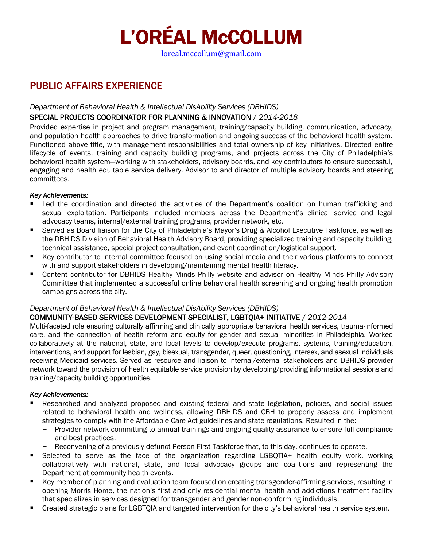

[loreal.mccollum@gmail.com](mailto:loreal.mccollum@gmail.com)

# PUBLIC AFFAIRS EXPERIENCE

#### *Department of Behavioral Health & Intellectual DisAbility Services (DBHIDS)*

#### SPECIAL PROJECTS COORDINATOR FOR PLANNING & INNOVATION / *2014-2018*

Provided expertise in project and program management, training/capacity building, communication, advocacy, and population health approaches to drive transformation and ongoing success of the behavioral health system. Functioned above title, with management responsibilities and total ownership of key initiatives. Directed entire lifecycle of events, training and capacity building programs, and projects across the City of Philadelphia's behavioral health system—working with stakeholders, advisory boards, and key contributors to ensure successful, engaging and health equitable service delivery. Advisor to and director of multiple advisory boards and steering committees.

#### *Key Achievements:*

- Led the coordination and directed the activities of the Department's coalition on human trafficking and sexual exploitation. Participants included members across the Department's clinical service and legal advocacy teams, internal/external training programs, provider network, etc.
- Served as Board liaison for the City of Philadelphia's Mayor's Drug & Alcohol Executive Taskforce, as well as the DBHIDS Division of Behavioral Health Advisory Board, providing specialized training and capacity building, technical assistance, special project consultation, and event coordination/logistical support.
- Key contributor to internal committee focused on using social media and their various platforms to connect with and support stakeholders in developing/maintaining mental health literacy.
- Content contributor for DBHIDS Healthy Minds Philly website and advisor on Healthy Minds Philly Advisory Committee that implemented a successful online behavioral health screening and ongoing health promotion campaigns across the city.

#### *Department of Behavioral Health & Intellectual DisAbility Services (DBHIDS)*

#### COMMUNITY-BASED SERVICES DEVELOPMENT SPECIALIST, LGBTQIA+ INITIATIVE / *2012-2014*

Multi-faceted role ensuring culturally affirming and clinically appropriate behavioral health services, trauma-informed care, and the connection of health reform and equity for gender and sexual minorities in Philadelphia. Worked collaboratively at the national, state, and local levels to develop/execute programs, systems, training/education, interventions, and support for lesbian, gay, bisexual, transgender, queer, questioning, intersex, and asexual individuals receiving Medicaid services. Served as resource and liaison to internal/external stakeholders and DBHIDS provider network toward the provision of health equitable service provision by developing/providing informational sessions and training/capacity building opportunities.

#### *Key Achievements:*

- Researched and analyzed proposed and existing federal and state legislation, policies, and social issues related to behavioral health and wellness, allowing DBHIDS and CBH to properly assess and implement strategies to comply with the Affordable Care Act guidelines and state regulations. Resulted in the:
	- Provider network committing to annual trainings and ongoing quality assurance to ensure full compliance and best practices.
	- Reconvening of a previously defunct Person-First Taskforce that, to this day, continues to operate.
- Selected to serve as the face of the organization regarding LGBOTIA+ health equity work, working collaboratively with national, state, and local advocacy groups and coalitions and representing the Department at community health events.
- Key member of planning and evaluation team focused on creating transgender-affirming services, resulting in opening Morris Home, the nation's first and only residential mental health and addictions treatment facility that specializes in services designed for transgender and gender non-conforming individuals.
- Created strategic plans for LGBTQIA and targeted intervention for the city's behavioral health service system.